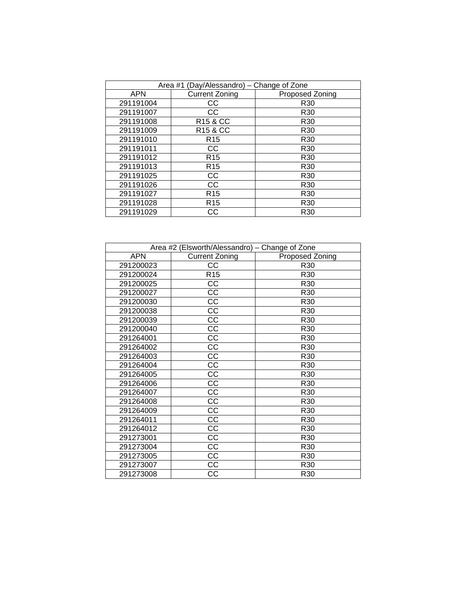| Area #1 (Day/Alessandro) - Change of Zone |                       |                 |  |  |
|-------------------------------------------|-----------------------|-----------------|--|--|
| <b>APN</b>                                | <b>Current Zoning</b> | Proposed Zoning |  |  |
| 291191004                                 | CС                    | R <sub>30</sub> |  |  |
| 291191007                                 | CС                    | R <sub>30</sub> |  |  |
| 291191008                                 | R <sub>15</sub> & CC  | R <sub>30</sub> |  |  |
| 291191009                                 | R <sub>15</sub> & CC  | R <sub>30</sub> |  |  |
| 291191010                                 | R <sub>15</sub>       | R <sub>30</sub> |  |  |
| 291191011                                 | CС                    | R <sub>30</sub> |  |  |
| 291191012                                 | R <sub>15</sub>       | R <sub>30</sub> |  |  |
| 291191013                                 | R <sub>15</sub>       | R <sub>30</sub> |  |  |
| 291191025                                 | CС                    | R <sub>30</sub> |  |  |
| 291191026                                 | CС                    | R <sub>30</sub> |  |  |
| 291191027                                 | R <sub>15</sub>       | R <sub>30</sub> |  |  |
| 291191028                                 | R <sub>15</sub>       | R <sub>30</sub> |  |  |
| 291191029                                 | CС                    | R <sub>30</sub> |  |  |

| Area #2 (Elsworth/Alessandro) - Change of Zone |                       |                 |  |  |
|------------------------------------------------|-----------------------|-----------------|--|--|
| <b>APN</b>                                     | <b>Current Zoning</b> | Proposed Zoning |  |  |
| 291200023                                      | CC                    | R30             |  |  |
| 291200024                                      | R15                   | R <sub>30</sub> |  |  |
| 291200025                                      | CC                    | R <sub>30</sub> |  |  |
| 291200027                                      | $\overline{cc}$       | R <sub>30</sub> |  |  |
| 291200030                                      | CC                    | R <sub>30</sub> |  |  |
| 291200038                                      | CC                    | R <sub>30</sub> |  |  |
| 291200039                                      | <b>CC</b>             | R <sub>30</sub> |  |  |
| 291200040                                      | CC                    | R <sub>30</sub> |  |  |
| 291264001                                      | CC                    | R30             |  |  |
| 291264002                                      | CC                    | R30             |  |  |
| 291264003                                      | $\overline{CC}$       | R30             |  |  |
| 291264004                                      | $\overline{CC}$       | R30             |  |  |
| 291264005                                      | $\overline{CC}$       | R30             |  |  |
| 291264006                                      | CC                    | R30             |  |  |
| 291264007                                      | <b>CC</b>             | R30             |  |  |
| 291264008                                      | <b>CC</b>             | R30             |  |  |
| 291264009                                      | CC                    | R <sub>30</sub> |  |  |
| 291264011                                      | CC                    | R30             |  |  |
| 291264012                                      | CC                    | R <sub>30</sub> |  |  |
| 291273001                                      | $\overline{CC}$       | R <sub>30</sub> |  |  |
| 291273004                                      | CC                    | R30             |  |  |
| 291273005                                      | CC                    | R <sub>30</sub> |  |  |
| 291273007                                      | CC                    | R30             |  |  |
| 291273008                                      | CC                    | R30             |  |  |